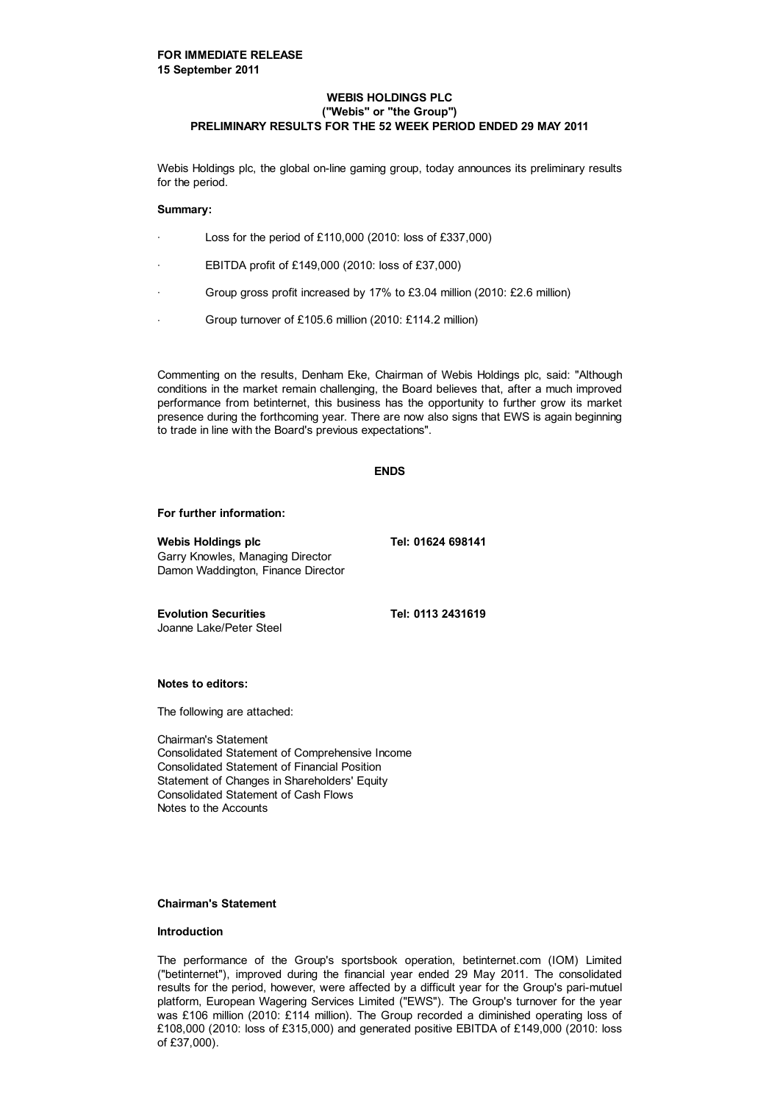## **WEBIS HOLDINGS PLC ("Webis" or "the Group") PRELIMINARY RESULTS FOR THE 52 WEEK PERIOD ENDED 29 MAY 2011**

Webis Holdings plc, the global on-line gaming group, today announces its preliminary results for the period.

### **Summary:**

- Loss for the period of £110,000 (2010: loss of £337,000)
- EBITDA profit of £149,000 (2010: loss of £37,000)
- Group gross profit increased by 17% to £3.04 million (2010: £2.6 million)
- Group turnover of £105.6 million (2010: £114.2 million)

Commenting on the results, Denham Eke, Chairman of Webis Holdings plc, said: "Although conditions in the market remain challenging, the Board believes that, after a much improved performance from betinternet, this business has the opportunity to further grow its market presence during the forthcoming year. There are now also signs that EWS is again beginning to trade in line with the Board's previous expectations".

#### **ENDS**

#### **For further information:**

Webis Holdings plc Tel: 01624 698141 Garry Knowles, Managing Director Damon Waddington, Finance Director

**Evolution Securities Tel: 0113 2431619** Joanne Lake/Peter Steel

**Notes to editors:**

The following are attached:

Chairman's Statement Consolidated Statement of Comprehensive Income Consolidated Statement of Financial Position Statement of Changes in Shareholders' Equity Consolidated Statement of Cash Flows Notes to the Accounts

### **Chairman's Statement**

### **Introduction**

The performance of the Group's sportsbook operation, betinternet.com (IOM) Limited ("betinternet"), improved during the financial year ended 29 May 2011. The consolidated results for the period, however, were affected by a difficult year for the Group's pari-mutuel platform, European Wagering Services Limited ("EWS"). The Group's turnover for the year was £106 million (2010: £114 million). The Group recorded a diminished operating loss of £108,000 (2010: loss of £315,000) and generated positive EBITDA of £149,000 (2010: loss of £37,000).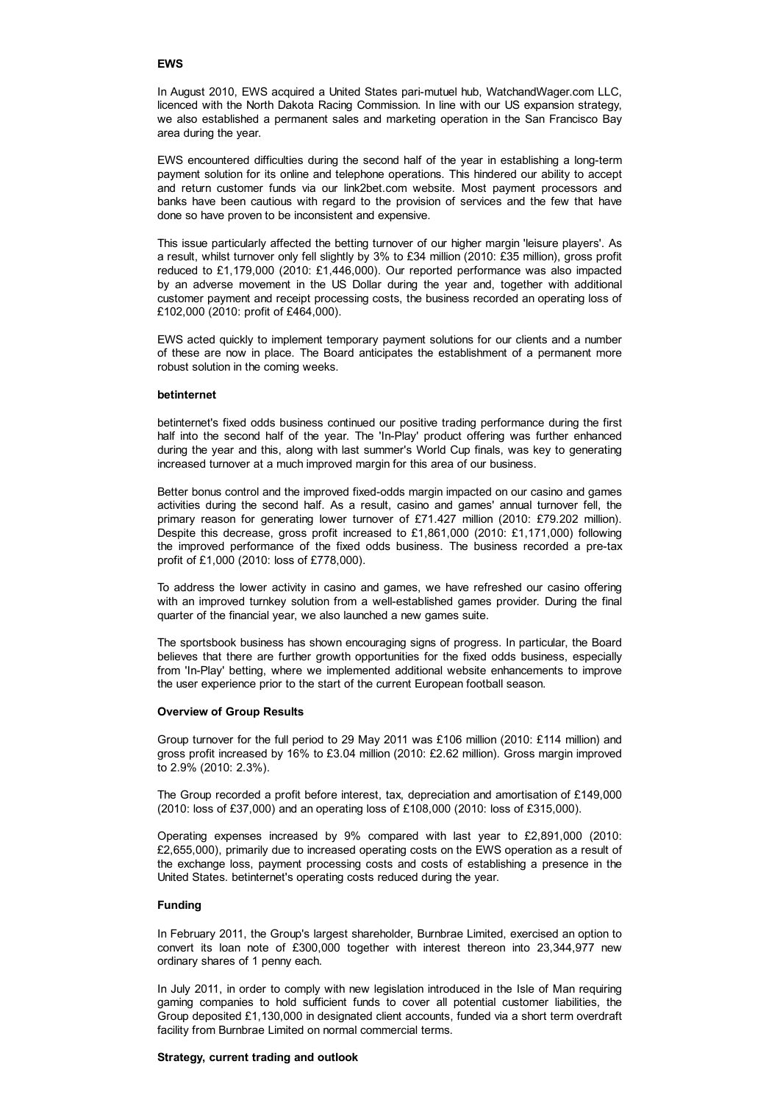### **EWS**

In August 2010, EWS acquired a United States pari-mutuel hub, WatchandWager.com LLC, licenced with the North Dakota Racing Commission. In line with our US expansion strategy, we also established a permanent sales and marketing operation in the San Francisco Bay area during the year.

EWS encountered difficulties during the second half of the year in establishing a long-term payment solution for its online and telephone operations. This hindered our ability to accept and return customer funds via our link2bet.com website. Most payment processors and banks have been cautious with regard to the provision of services and the few that have done so have proven to be inconsistent and expensive.

This issue particularly affected the betting turnover of our higher margin 'leisure players'. As a result, whilst turnover only fell slightly by 3% to £34 million (2010: £35 million), gross profit reduced to £1,179,000 (2010: £1,446,000). Our reported performance was also impacted by an adverse movement in the US Dollar during the year and, together with additional customer payment and receipt processing costs, the business recorded an operating loss of £102,000 (2010: profit of £464,000).

EWS acted quickly to implement temporary payment solutions for our clients and a number of these are now in place. The Board anticipates the establishment of a permanent more robust solution in the coming weeks.

# **betinternet**

betinternet's fixed odds business continued our positive trading performance during the first half into the second half of the year. The 'In-Play' product offering was further enhanced during the year and this, along with last summer's World Cup finals, was key to generating increased turnover at a much improved margin for this area of our business.

Better bonus control and the improved fixed-odds margin impacted on our casino and games activities during the second half. As a result, casino and games' annual turnover fell, the primary reason for generating lower turnover of £71.427 million (2010: £79.202 million). Despite this decrease, gross profit increased to £1,861,000 (2010: £1,171,000) following the improved performance of the fixed odds business. The business recorded a pre-tax profit of £1,000 (2010: loss of £778,000).

To address the lower activity in casino and games, we have refreshed our casino offering with an improved turnkey solution from a well-established games provider. During the final quarter of the financial year, we also launched a new games suite.

The sportsbook business has shown encouraging signs of progress. In particular, the Board believes that there are further growth opportunities for the fixed odds business, especially from 'In-Play' betting, where we implemented additional website enhancements to improve the user experience prior to the start of the current European football season.

#### **Overview of Group Results**

Group turnover for the full period to 29 May 2011 was £106 million (2010: £114 million) and gross profit increased by 16% to £3.04 million (2010: £2.62 million). Gross margin improved to 2.9% (2010: 2.3%).

The Group recorded a profit before interest, tax, depreciation and amortisation of £149,000 (2010: loss of £37,000) and an operating loss of £108,000 (2010: loss of £315,000).

Operating expenses increased by 9% compared with last year to £2,891,000 (2010: £2,655,000), primarily due to increased operating costs on the EWS operation as a result of the exchange loss, payment processing costs and costs of establishing a presence in the United States. betinternet's operating costs reduced during the year.

#### **Funding**

In February 2011, the Group's largest shareholder, Burnbrae Limited, exercised an option to convert its loan note of £300,000 together with interest thereon into 23,344,977 new ordinary shares of 1 penny each.

In July 2011, in order to comply with new legislation introduced in the Isle of Man requiring gaming companies to hold sufficient funds to cover all potential customer liabilities, the Group deposited £1,130,000 in designated client accounts, funded via a short term overdraft facility from Burnbrae Limited on normal commercial terms.

#### **Strategy, current trading and outlook**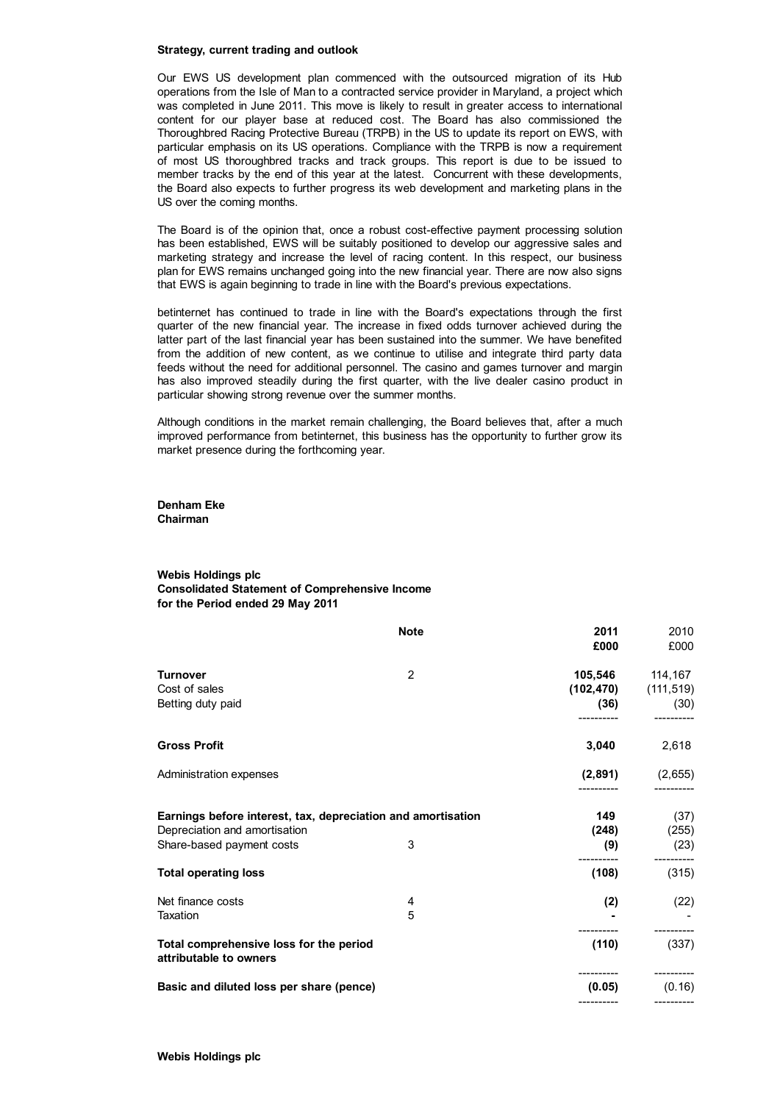### **Strategy, current trading and outlook**

Our EWS US development plan commenced with the outsourced migration of its Hub operations from the Isle of Man to a contracted service provider in Maryland, a project which was completed in June 2011. This move is likely to result in greater access to international content for our player base at reduced cost. The Board has also commissioned the Thoroughbred Racing Protective Bureau (TRPB) in the US to update its report on EWS, with particular emphasis on its US operations. Compliance with the TRPB is now a requirement of most US thoroughbred tracks and track groups. This report is due to be issued to member tracks by the end of this year at the latest. Concurrent with these developments, the Board also expects to further progress its web development and marketing plans in the US over the coming months.

The Board is of the opinion that, once a robust cost-effective payment processing solution has been established, EWS will be suitably positioned to develop our aggressive sales and marketing strategy and increase the level of racing content. In this respect, our business plan for EWS remains unchanged going into the new financial year. There are now also signs that EWS is again beginning to trade in line with the Board's previous expectations.

betinternet has continued to trade in line with the Board's expectations through the first quarter of the new financial year. The increase in fixed odds turnover achieved during the latter part of the last financial year has been sustained into the summer. We have benefited from the addition of new content, as we continue to utilise and integrate third party data feeds without the need for additional personnel. The casino and games turnover and margin has also improved steadily during the first quarter, with the live dealer casino product in particular showing strong revenue over the summer months.

Although conditions in the market remain challenging, the Board believes that, after a much improved performance from betinternet, this business has the opportunity to further grow its market presence during the forthcoming year.

**Denham Eke Chairman**

### **Webis Holdings plc Consolidated Statement of Comprehensive Income for the Period ended 29 May 2011**

|                                                                                               | <b>Note</b> | 2011<br>£000 | 2010<br>£000              |
|-----------------------------------------------------------------------------------------------|-------------|--------------|---------------------------|
| <b>Turnover</b>                                                                               | 2           |              | 105,546 114,167           |
| Cost of sales                                                                                 |             |              | $(102, 470)$ $(111, 519)$ |
| Betting duty paid                                                                             |             |              | (36)<br>(30)              |
| <b>Gross Profit</b>                                                                           |             | 3,040        | 2,618                     |
| Administration expenses                                                                       |             |              | $(2,891)$ $(2,655)$       |
| Earnings before interest, tax, depreciation and amortisation<br>Depreciation and amortisation |             | 149<br>(248) | (37)<br>(255)             |
| Share-based payment costs                                                                     | 3           | (9)          | (23)                      |
| <b>Total operating loss</b>                                                                   |             | (108)        | (315)                     |
| Net finance costs                                                                             | 4           | (2)          | (22)                      |
| Taxation                                                                                      | 5           |              |                           |
| Total comprehensive loss for the period<br>attributable to owners                             |             | (110)        | (337)                     |
| Basic and diluted loss per share (pence)                                                      |             | (0.05)       | (0.16)                    |
|                                                                                               |             |              |                           |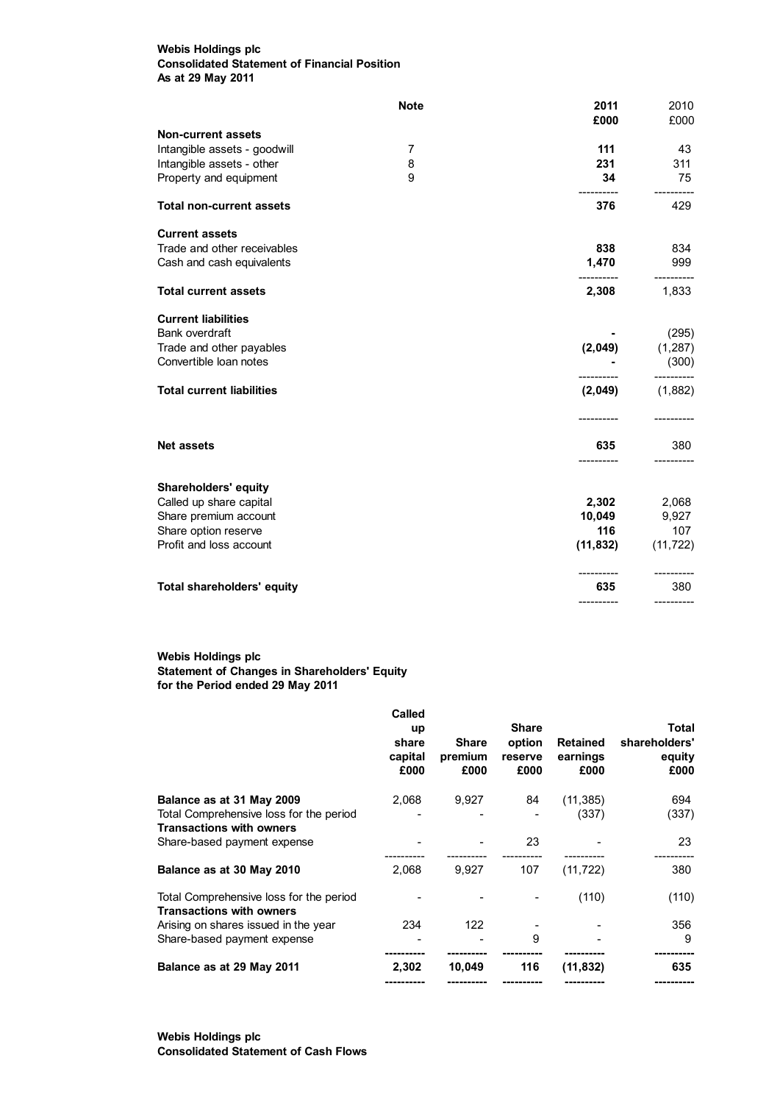# **Webis Holdings plc Consolidated Statement of Financial Position As at 29 May 2011**

|                                   | <b>Note</b> | 2011<br>£000          | 2010<br>£000 |
|-----------------------------------|-------------|-----------------------|--------------|
| <b>Non-current assets</b>         |             |                       |              |
| Intangible assets - goodwill      | 7           | 111                   | 43           |
| Intangible assets - other         | 8           | 231                   | 311          |
| Property and equipment            | 9           | 34                    | 75           |
| <b>Total non-current assets</b>   |             | 376                   | 429          |
| <b>Current assets</b>             |             |                       |              |
| Trade and other receivables       |             | 838                   | 834          |
| Cash and cash equivalents         |             | 1,470                 | 999          |
| <b>Total current assets</b>       |             | 2,308                 | 1,833        |
| <b>Current liabilities</b>        |             |                       |              |
| Bank overdraft                    |             |                       | (295)        |
| Trade and other payables          |             | (2,049)               | (1, 287)     |
| Convertible loan notes            |             |                       | (300)        |
| <b>Total current liabilities</b>  |             | (2,049)               | (1,882)      |
|                                   |             |                       | ----------   |
| <b>Net assets</b>                 |             | 635                   | 380          |
| Shareholders' equity              |             |                       |              |
| Called up share capital           |             |                       | 2,302 2,068  |
| Share premium account             |             | 10,049                | 9,927        |
| Share option reserve              |             | 116                   | 107          |
| Profit and loss account           |             | $(11,832)$ $(11,722)$ |              |
|                                   |             |                       |              |
| <b>Total shareholders' equity</b> |             | 635                   | 380          |
|                                   |             |                       |              |

# **Webis Holdings plc Statement of Changes in Shareholders' Equity for the Period ended 29 May 2011**

|                                                                            | Called<br>up<br>share<br>capital<br>£000 | <b>Share</b><br>premium<br>£000 | <b>Share</b><br>option<br>reserve<br>£000 | <b>Retained</b><br>earnings<br>£000 | Total<br>shareholders'<br>equity<br>£000 |
|----------------------------------------------------------------------------|------------------------------------------|---------------------------------|-------------------------------------------|-------------------------------------|------------------------------------------|
| Balance as at 31 May 2009                                                  | 2,068                                    | 9,927                           | 84                                        | (11, 385)                           | 694                                      |
| Total Comprehensive loss for the period                                    |                                          |                                 |                                           | (337)                               | (337)                                    |
| <b>Transactions with owners</b>                                            |                                          |                                 |                                           |                                     |                                          |
| Share-based payment expense                                                |                                          |                                 | 23                                        |                                     | 23                                       |
| Balance as at 30 May 2010                                                  | 2.068                                    | 9.927                           | 107                                       | (11, 722)                           | 380                                      |
| Total Comprehensive loss for the period<br><b>Transactions with owners</b> |                                          |                                 |                                           | (110)                               | (110)                                    |
| Arising on shares issued in the year                                       | 234                                      | 122                             |                                           |                                     | 356                                      |
| Share-based payment expense                                                |                                          |                                 | 9                                         |                                     | 9                                        |
|                                                                            |                                          |                                 |                                           |                                     |                                          |
| Balance as at 29 May 2011                                                  | 2,302                                    | 10,049                          | 116                                       | (11, 832)                           | 635                                      |
|                                                                            |                                          |                                 |                                           |                                     |                                          |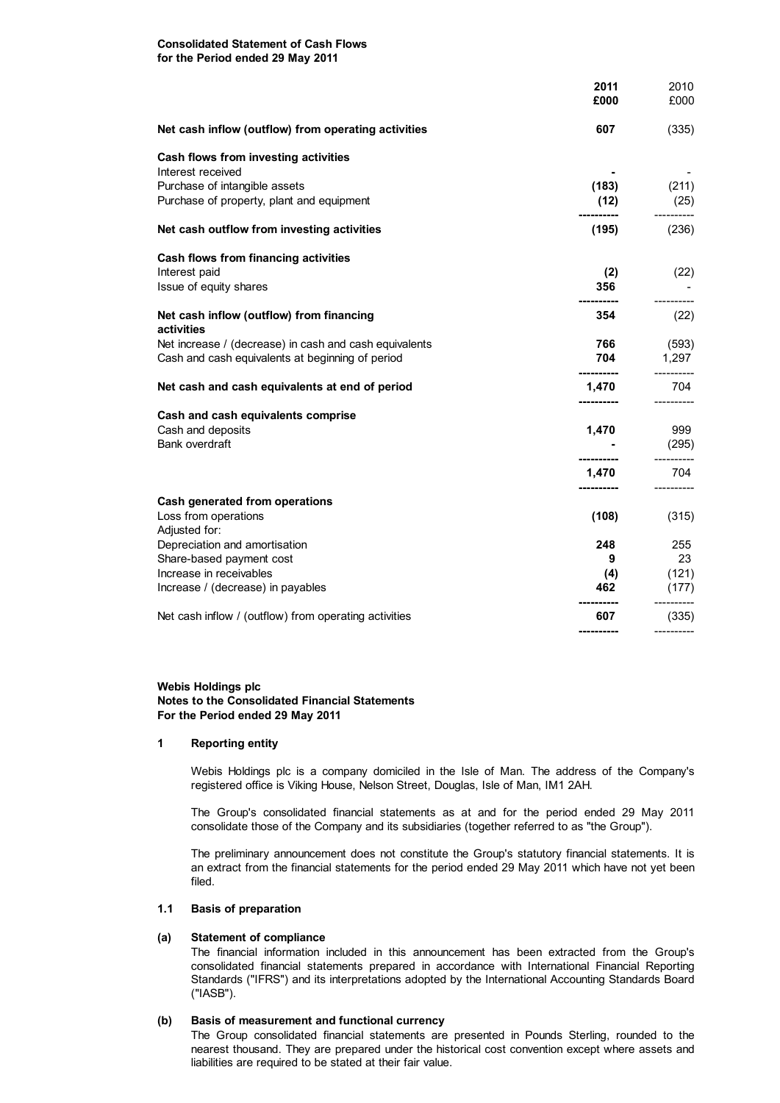### **Consolidated Statement of Cash Flows for the Period ended 29 May 2011**

|                                                                                                                           | 2011<br>£000             | 2010<br>£000                 |
|---------------------------------------------------------------------------------------------------------------------------|--------------------------|------------------------------|
| Net cash inflow (outflow) from operating activities                                                                       | 607                      | (335)                        |
| Cash flows from investing activities<br>Interest received                                                                 |                          |                              |
| Purchase of intangible assets<br>Purchase of property, plant and equipment                                                | (183)<br>(12)            | (211)<br>(25)                |
| Net cash outflow from investing activities                                                                                | (195)                    | (236)                        |
| Cash flows from financing activities                                                                                      |                          |                              |
| Interest paid<br>Issue of equity shares                                                                                   | (2)<br>356               | (22)                         |
| Net cash inflow (outflow) from financing<br>activities                                                                    | 354                      | (22)                         |
| Net increase / (decrease) in cash and cash equivalents<br>Cash and cash equivalents at beginning of period                | 766<br>704<br>---------- | (593)<br>1,297<br>---------- |
| Net cash and cash equivalents at end of period                                                                            | 1,470<br>-----------     | 704                          |
| Cash and cash equivalents comprise<br>Cash and deposits<br><b>Bank overdraft</b>                                          | 1,470<br>-----------     | 999<br>(295)<br>----------   |
|                                                                                                                           | 1,470                    | 704                          |
| Cash generated from operations<br>Loss from operations<br>Adjusted for:                                                   | ----------<br>(108)      | (315)                        |
| Depreciation and amortisation<br>Share-based payment cost<br>Increase in receivables<br>Increase / (decrease) in payables | 248<br>9<br>(4)<br>462   | 255<br>23<br>(121)<br>(177)  |
| Net cash inflow / (outflow) from operating activities                                                                     | 607                      | (335)                        |
|                                                                                                                           |                          |                              |

### **Webis Holdings plc Notes to the Consolidated Financial Statements For the Period ended 29 May 2011**

## **1 Reporting entity**

Webis Holdings plc is a company domiciled in the Isle of Man. The address of the Company's registered office is Viking House, Nelson Street, Douglas, Isle of Man, IM1 2AH.

The Group's consolidated financial statements as at and for the period ended 29 May 2011 consolidate those of the Company and its subsidiaries (together referred to as "the Group").

The preliminary announcement does not constitute the Group's statutory financial statements. It is an extract from the financial statements for the period ended 29 May 2011 which have not yet been filed.

# **1.1 Basis of preparation**

## **(a) Statement of compliance**

The financial information included in this announcement has been extracted from the Group's consolidated financial statements prepared in accordance with International Financial Reporting Standards ("IFRS") and its interpretations adopted by the International Accounting Standards Board ("IASB").

### **(b) Basis of measurement and functional currency**

The Group consolidated financial statements are presented in Pounds Sterling, rounded to the nearest thousand. They are prepared under the historical cost convention except where assets and liabilities are required to be stated at their fair value.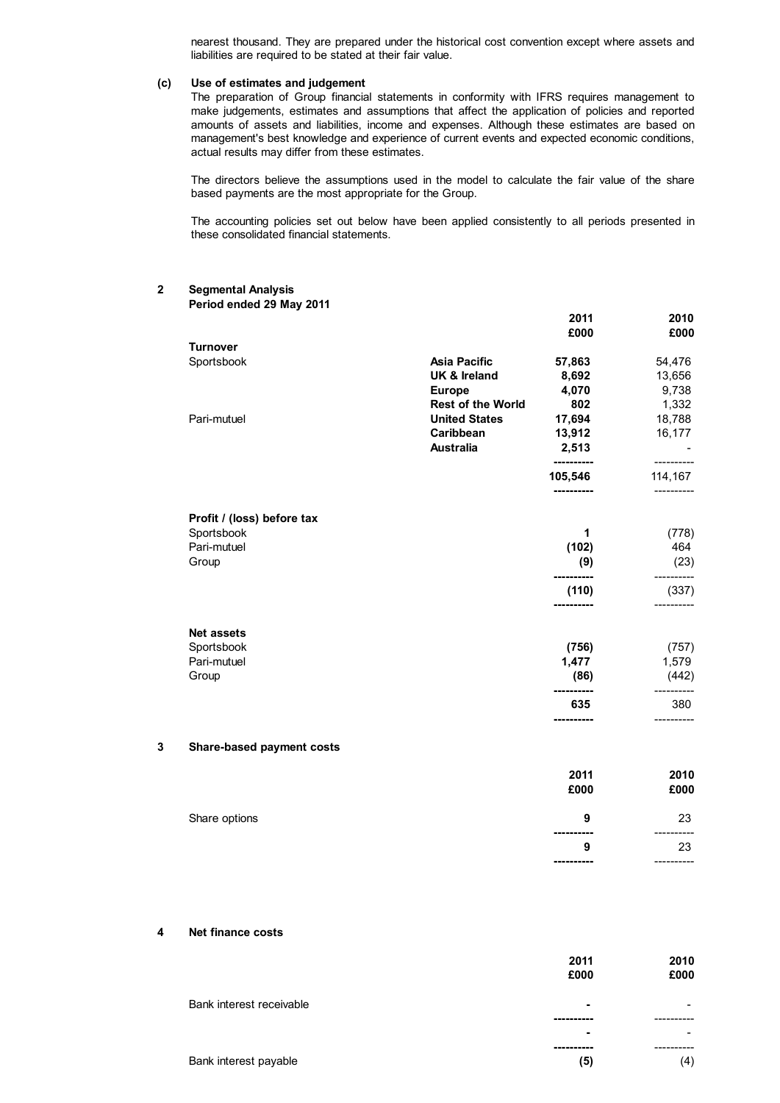nearest thousand. They are prepared under the historical cost convention except where assets and liabilities are required to be stated at their fair value.

### **(c) Use of estimates and judgement**

The preparation of Group financial statements in conformity with IFRS requires management to make judgements, estimates and assumptions that affect the application of policies and reported amounts of assets and liabilities, income and expenses. Although these estimates are based on management's best knowledge and experience of current events and expected economic conditions, actual results may differ from these estimates.

The directors believe the assumptions used in the model to calculate the fair value of the share based payments are the most appropriate for the Group.

The accounting policies set out below have been applied consistently to all periods presented in these consolidated financial statements.

### **2 Segmental Analysis Period ended 29 May 2011**

|   |                            |                         | 2011<br>£000                     | 2010<br>£000          |
|---|----------------------------|-------------------------|----------------------------------|-----------------------|
|   | <b>Turnover</b>            |                         |                                  |                       |
|   | Sportsbook                 | <b>Asia Pacific</b>     | 57,863                           | 54,476                |
|   |                            | <b>UK &amp; Ireland</b> | 8,692                            | 13,656                |
|   |                            | <b>Europe</b>           | 4,070                            | 9,738                 |
|   |                            | Rest of the World       | 802                              | 1,332                 |
|   | Pari-mutuel                | <b>United States</b>    | 17,694                           | 18,788                |
|   |                            | Caribbean               | 13,912                           | 16,177                |
|   |                            | <b>Australia</b>        | 2,513<br>----------              | -----------           |
|   |                            |                         | 105,546<br>----------            | 114,167<br>---------- |
|   | Profit / (loss) before tax |                         |                                  |                       |
|   | Sportsbook                 |                         | 1                                | (778)                 |
|   | Pari-mutuel                |                         | (102)                            | 464                   |
|   | Group                      |                         | (9)<br>-----------               | (23)<br>----------    |
|   |                            |                         | (110)<br>----------              | (337)<br>----------   |
|   | <b>Net assets</b>          |                         |                                  |                       |
|   | Sportsbook                 |                         | (756)                            | (757)                 |
|   | Pari-mutuel                |                         | 1,477                            | 1,579                 |
|   | Group                      |                         | (86)                             | (442)                 |
|   |                            |                         | -----------<br>635<br>---------- | 380                   |
| 3 | Share-based payment costs  |                         |                                  |                       |
|   |                            |                         | 2011                             | 2010                  |
|   |                            |                         | £000                             | £000                  |
|   | Share options              |                         | 9                                | 23                    |
|   |                            |                         | -----------                      | ----------            |

### **4 Net finance costs**

|                          | 2011           | 2010 |
|--------------------------|----------------|------|
|                          | £000           | £000 |
| Bank interest receivable | $\blacksquare$ |      |
|                          |                |      |
|                          | $\blacksquare$ |      |
|                          |                |      |
| Bank interest payable    | (5)            | (4)  |

**9** 23 **----------** ----------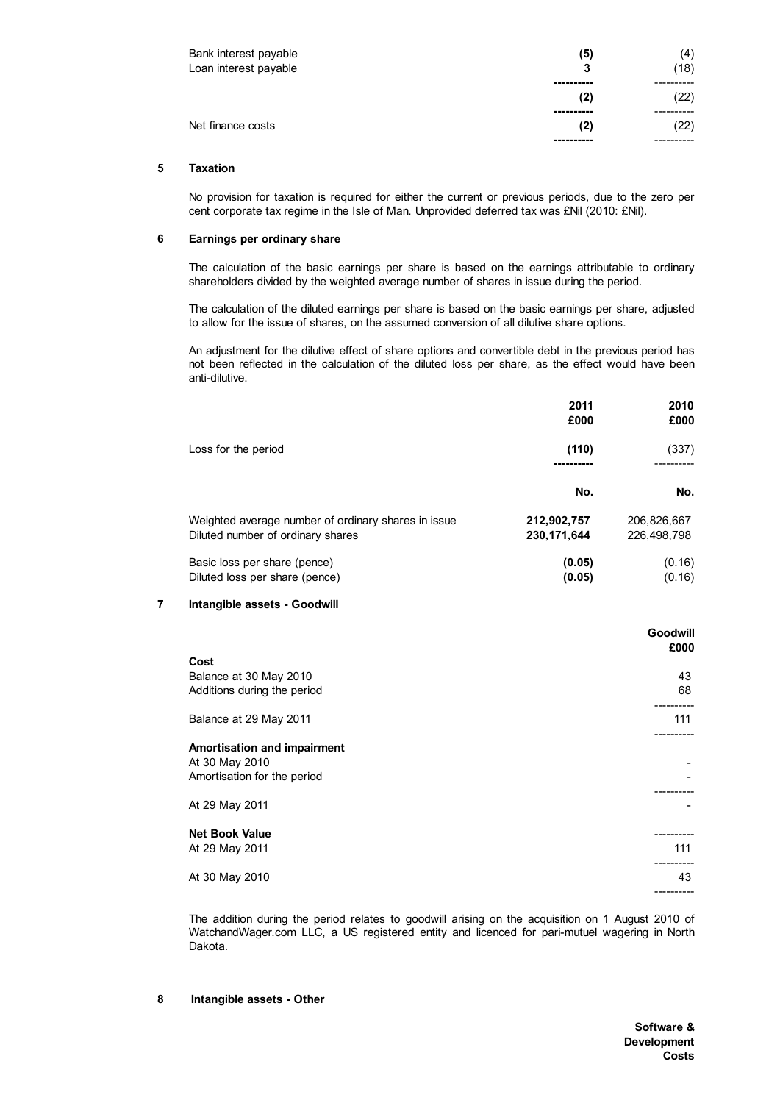| Bank interest payable<br>Loan interest payable | (5)<br>3 | (4)<br>(18) |
|------------------------------------------------|----------|-------------|
|                                                |          |             |
|                                                | (2)      | (22)        |
|                                                |          |             |
| Net finance costs                              | (2)      | (22)        |
|                                                |          |             |

# **5 Taxation**

No provision for taxation is required for either the current or previous periods, due to the zero per cent corporate tax regime in the Isle of Man. Unprovided deferred tax was £Nil (2010: £Nil).

## **6 Earnings per ordinary share**

The calculation of the basic earnings per share is based on the earnings attributable to ordinary shareholders divided by the weighted average number of shares in issue during the period.

The calculation of the diluted earnings per share is based on the basic earnings per share, adjusted to allow for the issue of shares, on the assumed conversion of all dilutive share options.

An adjustment for the dilutive effect of share options and convertible debt in the previous period has not been reflected in the calculation of the diluted loss per share, as the effect would have been anti-dilutive.

|                                                                                          | 2011<br>£000                 | 2010<br>£000               |
|------------------------------------------------------------------------------------------|------------------------------|----------------------------|
| Loss for the period                                                                      | (110)                        | (337)                      |
|                                                                                          | No.                          | No.                        |
| Weighted average number of ordinary shares in issue<br>Diluted number of ordinary shares | 212,902,757<br>230, 171, 644 | 206,826,667<br>226,498,798 |
| Basic loss per share (pence)<br>Diluted loss per share (pence)                           | (0.05)<br>(0.05)             | (0.16)<br>(0.16)           |

#### **7 Intangible assets - Goodwill**

|                                                                                                | <b>Goodwill</b><br>£000 |
|------------------------------------------------------------------------------------------------|-------------------------|
| Cost                                                                                           |                         |
| Balance at 30 May 2010                                                                         | 43                      |
| Additions during the period                                                                    | 68                      |
|                                                                                                |                         |
| Balance at 29 May 2011                                                                         | 111                     |
| Amortisation and impairment<br>At 30 May 2010<br>Amortisation for the period<br>At 29 May 2011 | ---------               |
|                                                                                                |                         |
| <b>Net Book Value</b>                                                                          |                         |
| At 29 May 2011                                                                                 | 111                     |
| At 30 May 2010                                                                                 | 43<br>---------         |

The addition during the period relates to goodwill arising on the acquisition on 1 August 2010 of WatchandWager.com LLC, a US registered entity and licenced for pari-mutuel wagering in North Dakota.